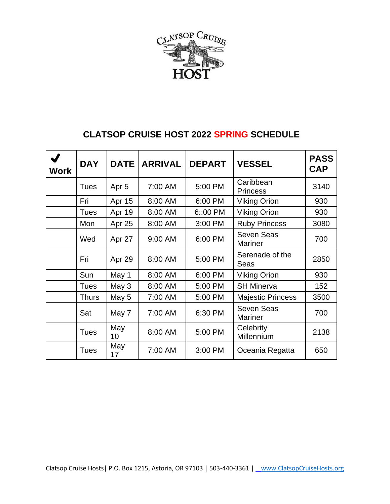

## **CLATSOP CRUISE HOST 2022 SPRING SCHEDULE**

| <b>Work</b> | <b>DAY</b>   | <b>DATE</b>      | <b>ARRIVAL</b> | <b>DEPART</b> | <b>VESSEL</b>                       | <b>PASS</b><br><b>CAP</b> |
|-------------|--------------|------------------|----------------|---------------|-------------------------------------|---------------------------|
|             | Tues         | Apr <sub>5</sub> | 7:00 AM        | 5:00 PM       | Caribbean<br><b>Princess</b>        | 3140                      |
|             | Fri          | Apr 15           | 8:00 AM        | 6:00 PM       | <b>Viking Orion</b>                 | 930                       |
|             | <b>Tues</b>  | Apr 19           | 8:00 AM        | 6::00 PM      | <b>Viking Orion</b>                 | 930                       |
|             | Mon          | Apr 25           | 8:00 AM        | 3:00 PM       | <b>Ruby Princess</b>                | 3080                      |
|             | Wed          | Apr 27           | 9:00 AM        | 6:00 PM       | <b>Seven Seas</b><br><b>Mariner</b> | 700                       |
|             | Fri          | Apr 29           | 8:00 AM        | 5:00 PM       | Serenade of the<br>Seas             | 2850                      |
|             | Sun          | May 1            | 8:00 AM        | 6:00 PM       | <b>Viking Orion</b>                 | 930                       |
|             | Tues         | May 3            | 8:00 AM        | 5:00 PM       | <b>SH Minerva</b>                   | 152                       |
|             | <b>Thurs</b> | May 5            | 7:00 AM        | 5:00 PM       | <b>Majestic Princess</b>            | 3500                      |
|             | Sat          | May 7            | 7:00 AM        | 6:30 PM       | <b>Seven Seas</b><br><b>Mariner</b> | 700                       |
|             | Tues         | May<br>10        | 8:00 AM        | 5:00 PM       | Celebrity<br>Millennium             | 2138                      |
|             | Tues         | May<br>17        | 7:00 AM        | 3:00 PM       | Oceania Regatta                     | 650                       |